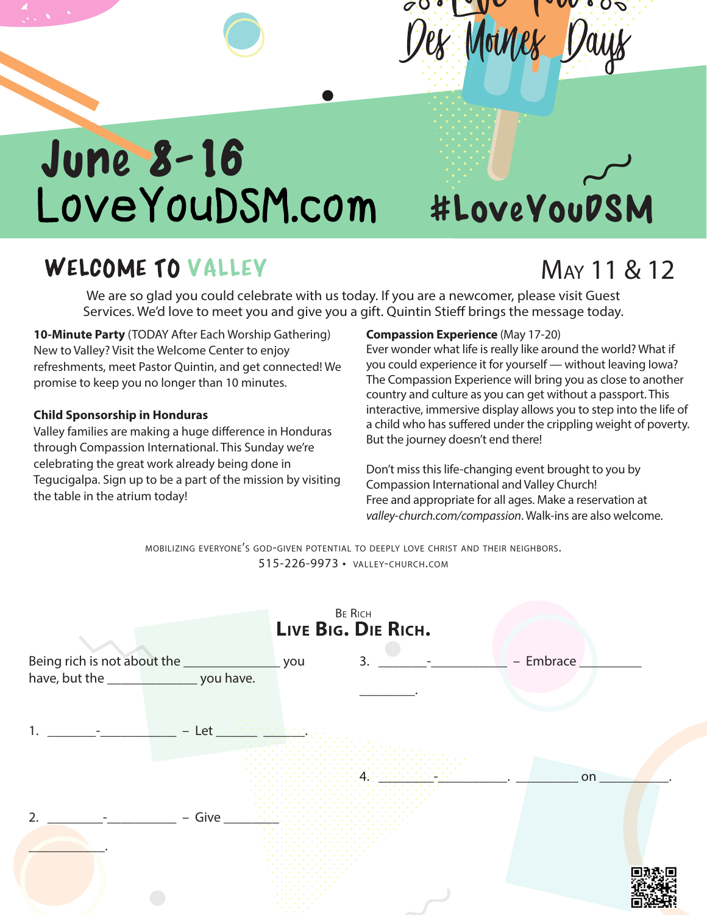## $\mathbf{V}$ Des Moines Days

# June 8-16<br>LoveYouDSM.com

#LoveYouDSM

### WELCOME TO VALLEY

## May 11 & 12

We are so glad you could celebrate with us today. If you are a newcomer, please visit Guest Services. We'd love to meet you and give you a gift. Quintin Stieff brings the message today.

**10-Minute Party** (TODAY After Each Worship Gathering) New to Valley? Visit the Welcome Center to enjoy refreshments, meet Pastor Quintin, and get connected! We promise to keep you no longer than 10 minutes.

#### **Child Sponsorship in Honduras**

Valley families are making a huge difference in Honduras through Compassion International. This Sunday we're celebrating the great work already being done in Tegucigalpa. Sign up to be a part of the mission by visiting the table in the atrium today!

#### **Compassion Experience** (May 17-20)

Ever wonder what life is really like around the world? What if you could experience it for yourself — without leaving Iowa? The Compassion Experience will bring you as close to another country and culture as you can get without a passport. This interactive, immersive display allows you to step into the life of a child who has suffered under the crippling weight of poverty. But the journey doesn't end there!

Don't miss this life-changing event brought to you by Compassion International and Valley Church! Free and appropriate for all ages. Make a reservation at *valley-church.com/compassion*. Walk-ins are also welcome.

mobilizing everyone's god-given potential to deeply love christ and their neighbors. 515-226-9973 • valley-church.com

|                |         | BE RICH<br>LIVE BIG. DIE RICH. |           |
|----------------|---------|--------------------------------|-----------|
|                |         | 3.                             | - Embrace |
|                |         |                                |           |
| 1.             | $-$ Let |                                | on        |
| $\overline{2}$ | - Give  |                                |           |